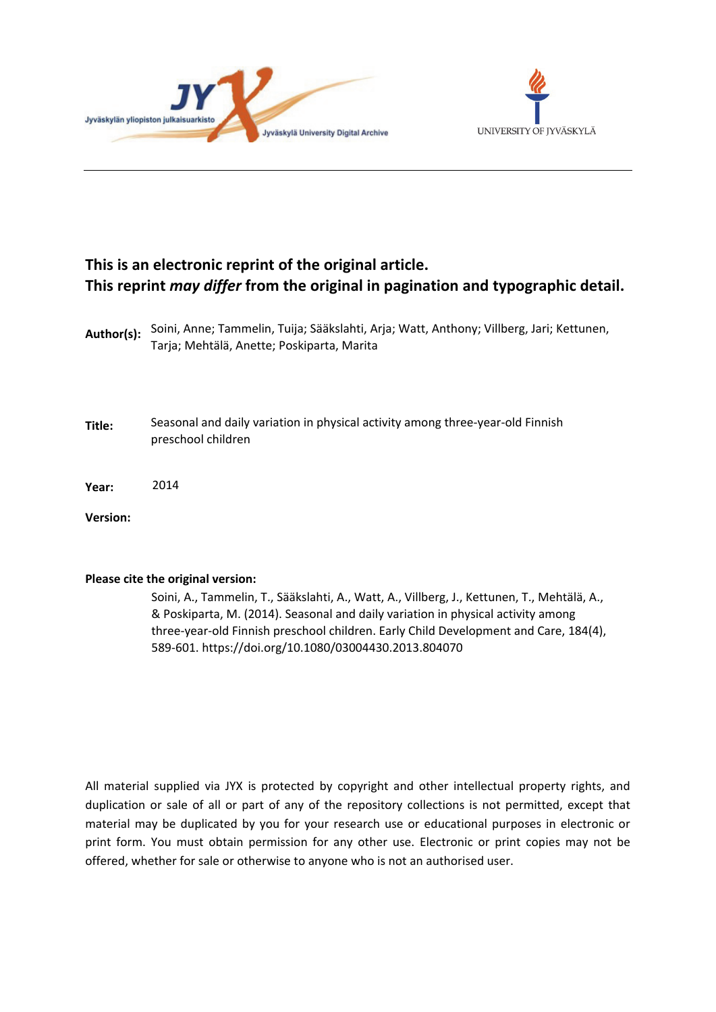



# **This is an electronic reprint of the original article. This reprint** *may differ* **from the original in pagination and typographic detail.**

| Author(s): Soini, Anne; Tammelin, Tuija; Sääkslahti, Arja; Watt, Anthony; Villberg, Jari; Kettunen, |
|-----------------------------------------------------------------------------------------------------|
| Tarja; Mehtälä, Anette; Poskiparta, Marita                                                          |

- **Title:** Seasonal and daily variation in physical activity among three-year-old Finnish preschool children
- **Year:**  2014

**Version:**

#### **Please cite the original version:**

Soini, A., Tammelin, T., Sääkslahti, A., Watt, A., Villberg, J., Kettunen, T., Mehtälä, A., & Poskiparta, M. (2014). Seasonal and daily variation in physical activity among three-year-old Finnish preschool children. Early Child Development and Care, 184(4), 589-601. https://doi.org/10.1080/03004430.2013.804070

All material supplied via JYX is protected by copyright and other intellectual property rights, and duplication or sale of all or part of any of the repository collections is not permitted, except that material may be duplicated by you for your research use or educational purposes in electronic or print form. You must obtain permission for any other use. Electronic or print copies may not be offered, whether for sale or otherwise to anyone who is not an authorised user.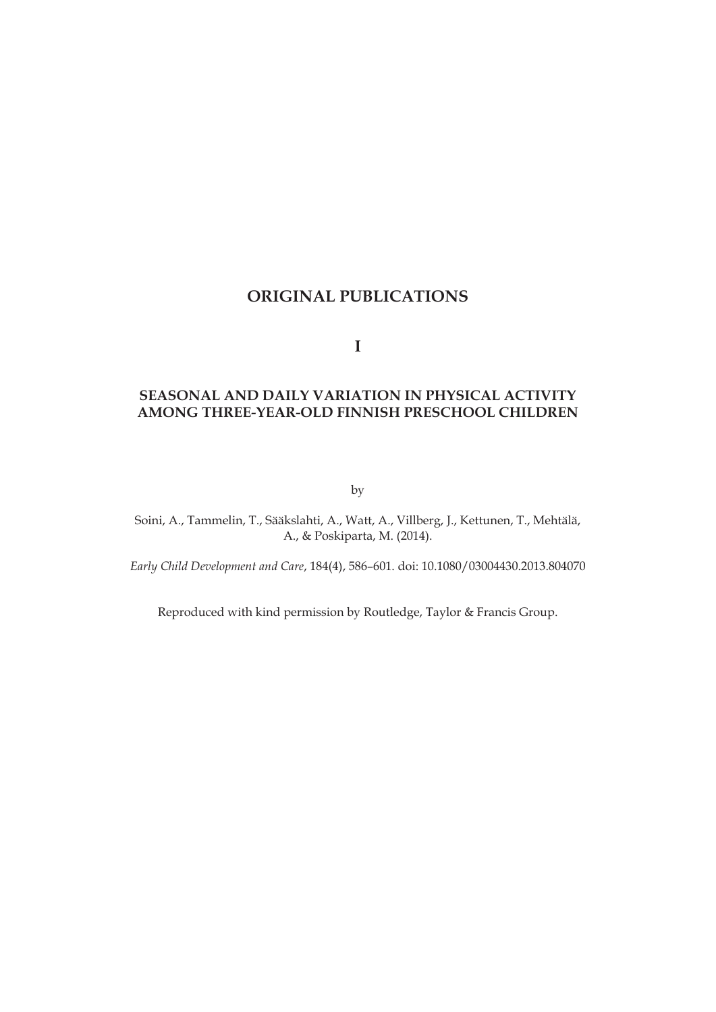## **ORIGINAL PUBLICATIONS**

**I**

## **SEASONAL AND DAILY VARIATION IN PHYSICAL ACTIVITY AMONG THREE-YEAR-OLD FINNISH PRESCHOOL CHILDREN**

by

Soini, A., Tammelin, T., Sääkslahti, A., Watt, A., Villberg, J., Kettunen, T., Mehtälä, A., & Poskiparta, M. (2014).

*Early Child Development and Care*, 184(4), 586–601. doi: 10.1080/03004430.2013.804070

Reproduced with kind permission by Routledge, Taylor & Francis Group.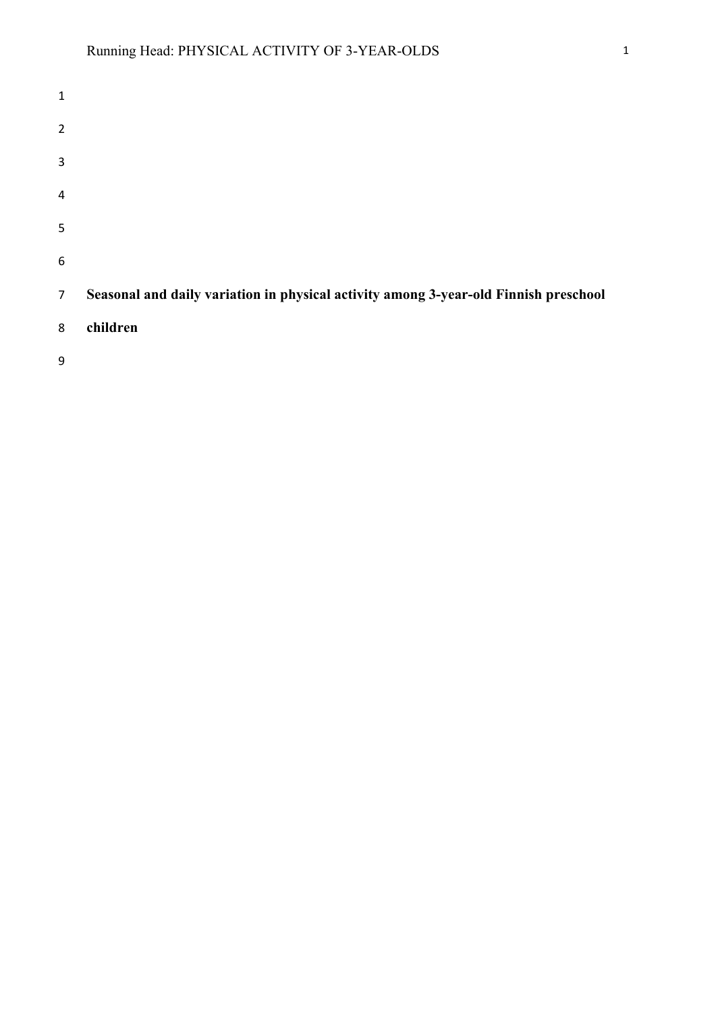| $\mathbf 1$    |                                                                                      |
|----------------|--------------------------------------------------------------------------------------|
| $\overline{2}$ |                                                                                      |
| 3              |                                                                                      |
| $\overline{4}$ |                                                                                      |
| 5              |                                                                                      |
| 6              |                                                                                      |
| $\overline{7}$ | Seasonal and daily variation in physical activity among 3-year-old Finnish preschool |
| 8              | children                                                                             |
| 9              |                                                                                      |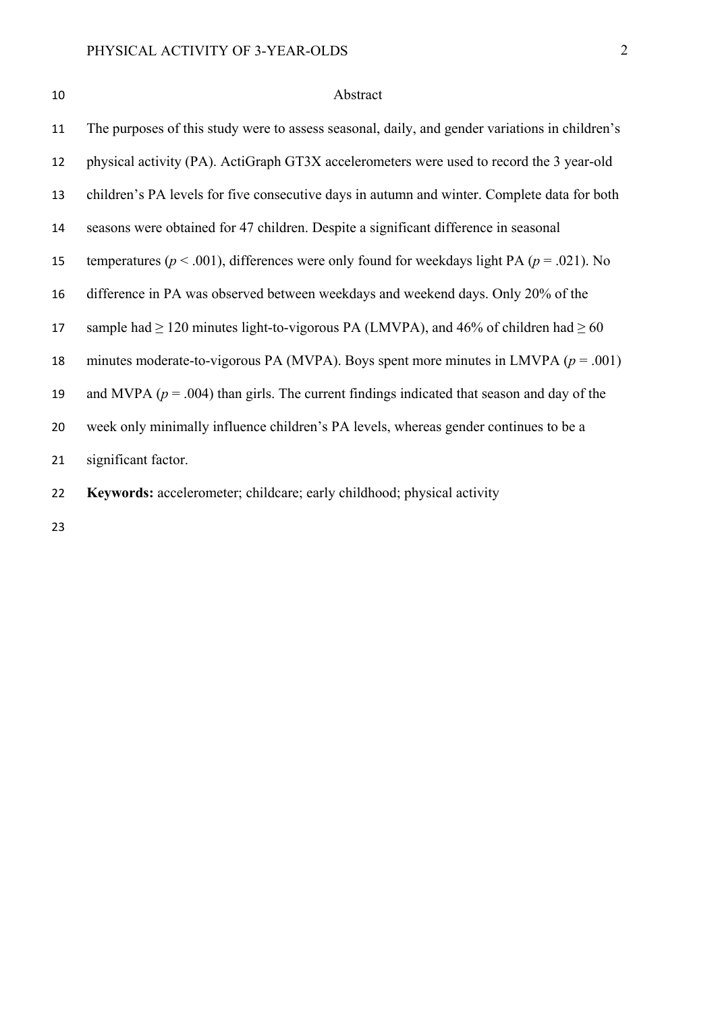| I |  |
|---|--|
|   |  |

# 10 Abstract

| 11 | The purposes of this study were to assess seasonal, daily, and gender variations in children's    |
|----|---------------------------------------------------------------------------------------------------|
| 12 | physical activity (PA). ActiGraph GT3X accelerometers were used to record the 3 year-old          |
| 13 | children's PA levels for five consecutive days in autumn and winter. Complete data for both       |
| 14 | seasons were obtained for 47 children. Despite a significant difference in seasonal               |
| 15 | temperatures ( $p < .001$ ), differences were only found for weekdays light PA ( $p = .021$ ). No |
| 16 | difference in PA was observed between weekdays and weekend days. Only 20% of the                  |
| 17 | sample had $\geq$ 120 minutes light-to-vigorous PA (LMVPA), and 46% of children had $\geq$ 60     |
| 18 | minutes moderate-to-vigorous PA (MVPA). Boys spent more minutes in LMVPA ( $p = .001$ )           |
| 19 | and MVPA ( $p = .004$ ) than girls. The current findings indicated that season and day of the     |
| 20 | week only minimally influence children's PA levels, whereas gender continues to be a              |
| 21 | significant factor.                                                                               |
| 22 | Keywords: accelerometer; childcare; early childhood; physical activity                            |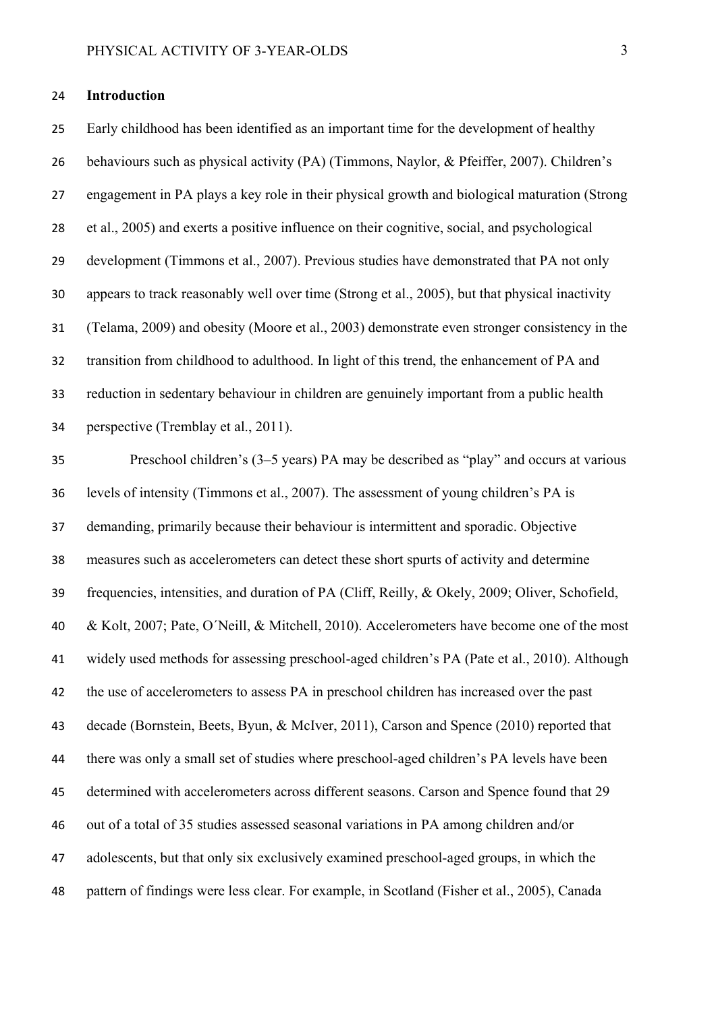#### **Introduction**

Early childhood has been identified as an important time for the development of healthy behaviours such as physical activity (PA) (Timmons, Naylor, & Pfeiffer, 2007). Children's engagement in PA plays a key role in their physical growth and biological maturation (Strong et al., 2005) and exerts a positive influence on their cognitive, social, and psychological development (Timmons et al., 2007). Previous studies have demonstrated that PA not only appears to track reasonably well over time (Strong et al., 2005), but that physical inactivity (Telama, 2009) and obesity (Moore et al., 2003) demonstrate even stronger consistency in the transition from childhood to adulthood. In light of this trend, the enhancement of PA and reduction in sedentary behaviour in children are genuinely important from a public health perspective (Tremblay et al., 2011).

Preschool children's (3–5 years) PA may be described as "play" and occurs at various levels of intensity (Timmons et al., 2007). The assessment of young children's PA is demanding, primarily because their behaviour is intermittent and sporadic. Objective measures such as accelerometers can detect these short spurts of activity and determine frequencies, intensities, and duration of PA (Cliff, Reilly, & Okely, 2009; Oliver, Schofield, & Kolt, 2007; Pate, O´Neill, & Mitchell, 2010). Accelerometers have become one of the most widely used methods for assessing preschool-aged children's PA (Pate et al., 2010). Although the use of accelerometers to assess PA in preschool children has increased over the past decade (Bornstein, Beets, Byun, & McIver, 2011), Carson and Spence (2010) reported that there was only a small set of studies where preschool-aged children's PA levels have been determined with accelerometers across different seasons. Carson and Spence found that 29 out of a total of 35 studies assessed seasonal variations in PA among children and/or adolescents, but that only six exclusively examined preschool-aged groups, in which the pattern of findings were less clear. For example, in Scotland (Fisher et al., 2005), Canada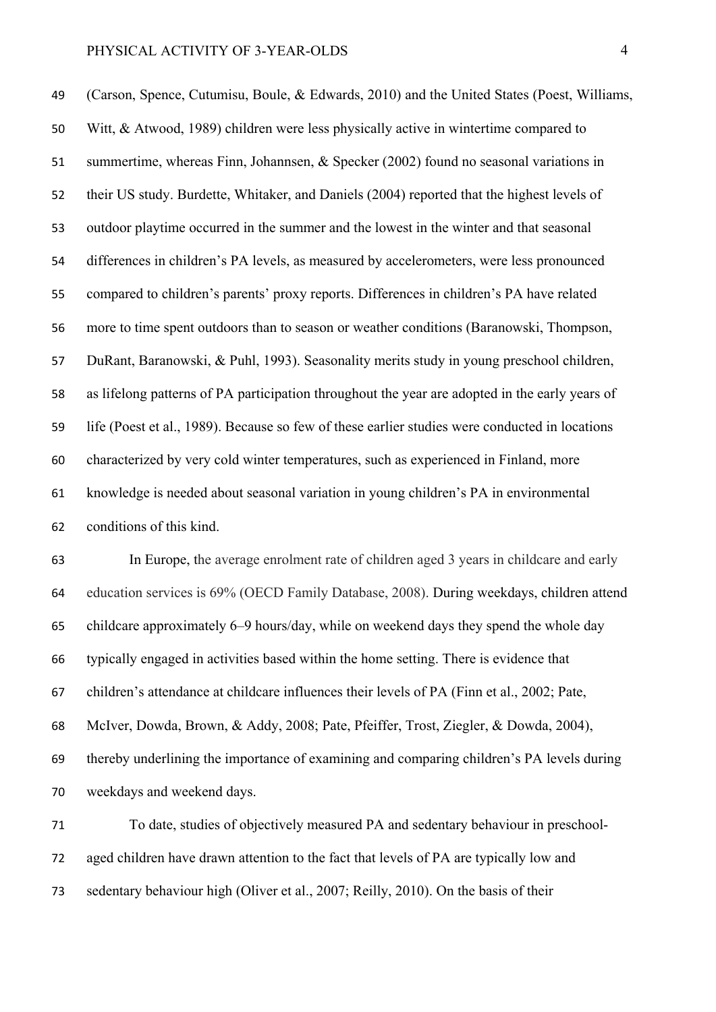(Carson, Spence, Cutumisu, Boule, & Edwards, 2010) and the United States (Poest, Williams, Witt, & Atwood, 1989) children were less physically active in wintertime compared to summertime, whereas Finn, Johannsen, & Specker (2002) found no seasonal variations in their US study. Burdette, Whitaker, and Daniels (2004) reported that the highest levels of outdoor playtime occurred in the summer and the lowest in the winter and that seasonal differences in children's PA levels, as measured by accelerometers, were less pronounced compared to children's parents' proxy reports. Differences in children's PA have related more to time spent outdoors than to season or weather conditions (Baranowski, Thompson, DuRant, Baranowski, & Puhl, 1993). Seasonality merits study in young preschool children, as lifelong patterns of PA participation throughout the year are adopted in the early years of life (Poest et al., 1989). Because so few of these earlier studies were conducted in locations characterized by very cold winter temperatures, such as experienced in Finland, more knowledge is needed about seasonal variation in young children's PA in environmental conditions of this kind.

In Europe, the average enrolment rate of children aged 3 years in childcare and early education services is 69% (OECD Family Database, 2008). During weekdays, children attend childcare approximately 6–9 hours/day, while on weekend days they spend the whole day typically engaged in activities based within the home setting. There is evidence that children's attendance at childcare influences their levels of PA (Finn et al., 2002; Pate, McIver, Dowda, Brown, & Addy, 2008; Pate, Pfeiffer, Trost, Ziegler, & Dowda, 2004), thereby underlining the importance of examining and comparing children's PA levels during weekdays and weekend days.

To date, studies of objectively measured PA and sedentary behaviour in preschool-aged children have drawn attention to the fact that levels of PA are typically low and sedentary behaviour high (Oliver et al., 2007; Reilly, 2010). On the basis of their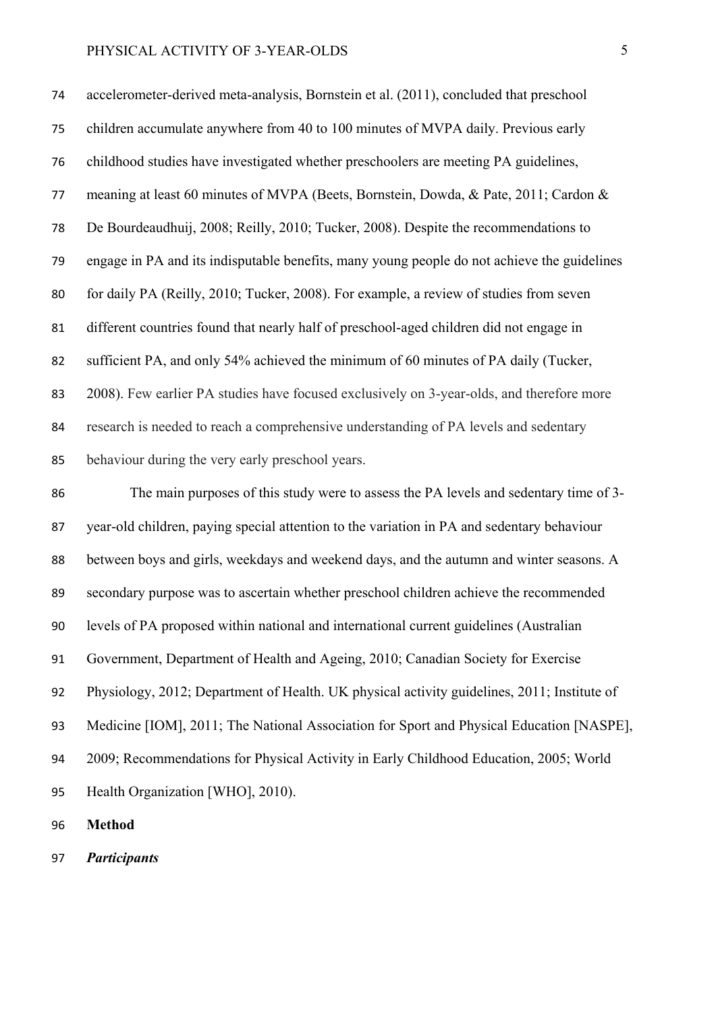accelerometer-derived meta-analysis, Bornstein et al. (2011), concluded that preschool children accumulate anywhere from 40 to 100 minutes of MVPA daily. Previous early childhood studies have investigated whether preschoolers are meeting PA guidelines, meaning at least 60 minutes of MVPA (Beets, Bornstein, Dowda, & Pate, 2011; Cardon & De Bourdeaudhuij, 2008; Reilly, 2010; Tucker, 2008). Despite the recommendations to engage in PA and its indisputable benefits, many young people do not achieve the guidelines 80 for daily PA (Reilly, 2010; Tucker, 2008). For example, a review of studies from seven different countries found that nearly half of preschool-aged children did not engage in sufficient PA, and only 54% achieved the minimum of 60 minutes of PA daily (Tucker, 2008). Few earlier PA studies have focused exclusively on 3-year-olds, and therefore more research is needed to reach a comprehensive understanding of PA levels and sedentary behaviour during the very early preschool years. The main purposes of this study were to assess the PA levels and sedentary time of 3- year-old children, paying special attention to the variation in PA and sedentary behaviour between boys and girls, weekdays and weekend days, and the autumn and winter seasons. A secondary purpose was to ascertain whether preschool children achieve the recommended levels of PA proposed within national and international current guidelines (Australian Government, Department of Health and Ageing, 2010; Canadian Society for Exercise Physiology, 2012; Department of Health. UK physical activity guidelines, 2011; Institute of Medicine [IOM], 2011; The National Association for Sport and Physical Education [NASPE], 2009; Recommendations for Physical Activity in Early Childhood Education, 2005; World Health Organization [WHO], 2010).

**Method** 

*Participants*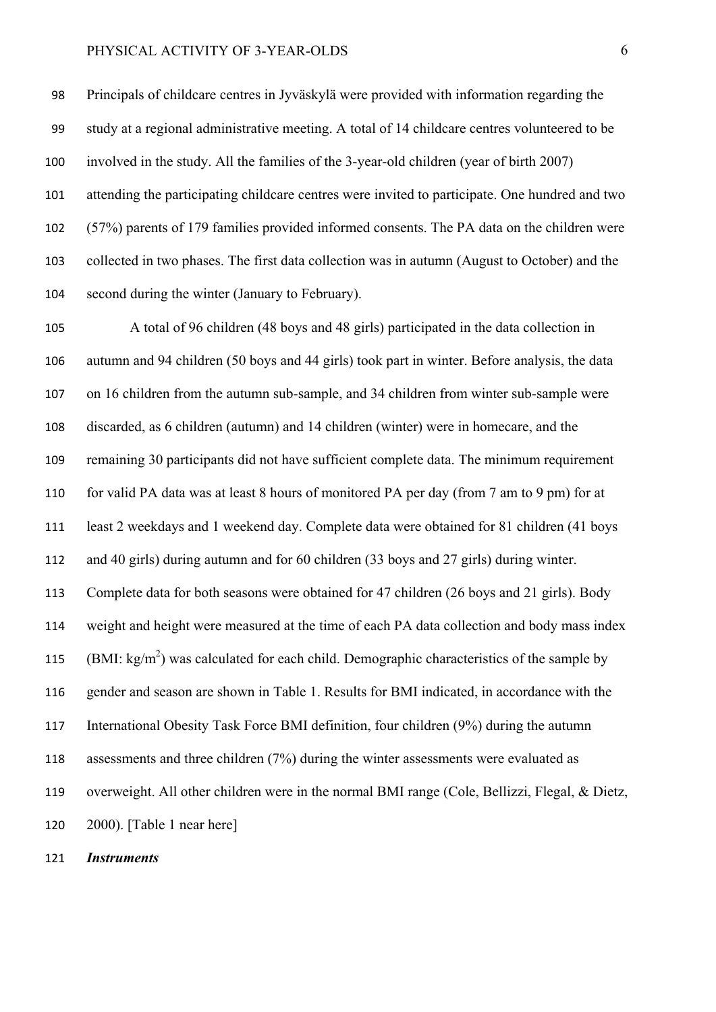Principals of childcare centres in Jyväskylä were provided with information regarding the study at a regional administrative meeting. A total of 14 childcare centres volunteered to be involved in the study. All the families of the 3-year-old children (year of birth 2007) attending the participating childcare centres were invited to participate. One hundred and two (57%) parents of 179 families provided informed consents. The PA data on the children were collected in two phases. The first data collection was in autumn (August to October) and the second during the winter (January to February).

A total of 96 children (48 boys and 48 girls) participated in the data collection in autumn and 94 children (50 boys and 44 girls) took part in winter. Before analysis, the data on 16 children from the autumn sub-sample, and 34 children from winter sub-sample were discarded, as 6 children (autumn) and 14 children (winter) were in homecare, and the remaining 30 participants did not have sufficient complete data. The minimum requirement for valid PA data was at least 8 hours of monitored PA per day (from 7 am to 9 pm) for at least 2 weekdays and 1 weekend day. Complete data were obtained for 81 children (41 boys and 40 girls) during autumn and for 60 children (33 boys and 27 girls) during winter. Complete data for both seasons were obtained for 47 children (26 boys and 21 girls). Body weight and height were measured at the time of each PA data collection and body mass index 115 (BMI: kg/m<sup>2</sup>) was calculated for each child. Demographic characteristics of the sample by gender and season are shown in Table 1. Results for BMI indicated, in accordance with the International Obesity Task Force BMI definition, four children (9%) during the autumn assessments and three children (7%) during the winter assessments were evaluated as overweight. All other children were in the normal BMI range (Cole, Bellizzi, Flegal, & Dietz, 2000). [Table 1 near here]

*Instruments*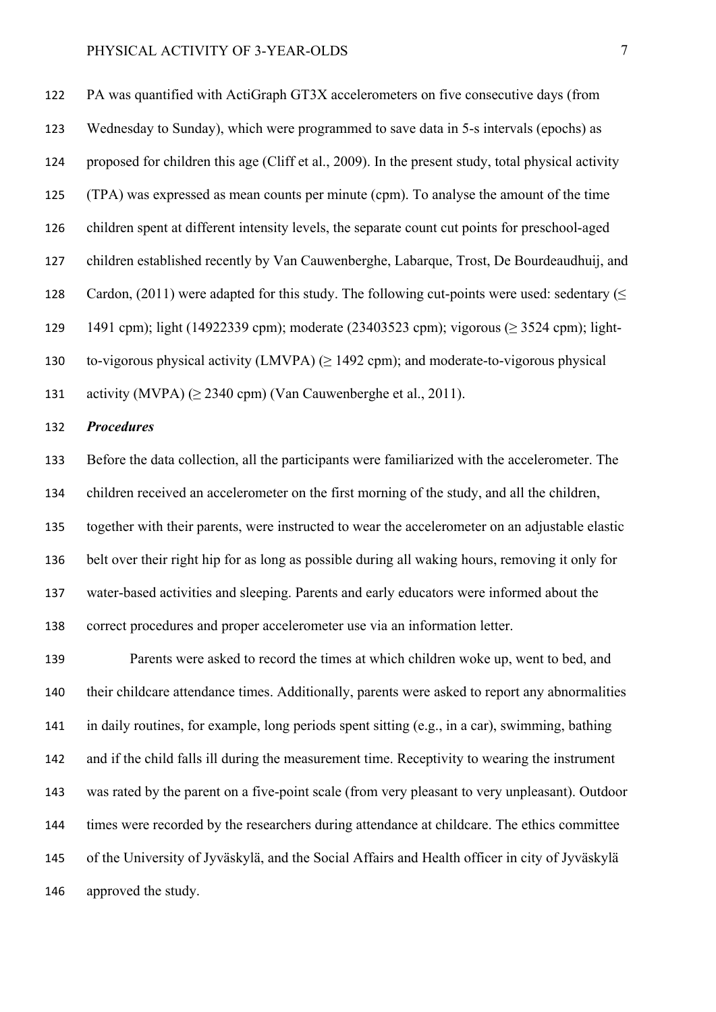PA was quantified with ActiGraph GT3X accelerometers on five consecutive days (from Wednesday to Sunday), which were programmed to save data in 5-s intervals (epochs) as proposed for children this age (Cliff et al., 2009). In the present study, total physical activity (TPA) was expressed as mean counts per minute (cpm). To analyse the amount of the time children spent at different intensity levels, the separate count cut points for preschool-aged children established recently by Van Cauwenberghe, Labarque, Trost, De Bourdeaudhuij, and 128 Cardon, (2011) were adapted for this study. The following cut-points were used: sedentary ( $\leq$ 1491 cpm); light (14922339 cpm); moderate (23403523 cpm); vigorous (≥ 3524 cpm); light-130 to-vigorous physical activity (LMVPA)  $(\geq 1492 \text{ cm})$ ; and moderate-to-vigorous physical activity (MVPA) (≥ 2340 cpm) (Van Cauwenberghe et al., 2011).

#### *Procedures*

Before the data collection, all the participants were familiarized with the accelerometer. The children received an accelerometer on the first morning of the study, and all the children, together with their parents, were instructed to wear the accelerometer on an adjustable elastic belt over their right hip for as long as possible during all waking hours, removing it only for water-based activities and sleeping. Parents and early educators were informed about the correct procedures and proper accelerometer use via an information letter.

Parents were asked to record the times at which children woke up, went to bed, and their childcare attendance times. Additionally, parents were asked to report any abnormalities in daily routines, for example, long periods spent sitting (e.g., in a car), swimming, bathing and if the child falls ill during the measurement time. Receptivity to wearing the instrument was rated by the parent on a five-point scale (from very pleasant to very unpleasant). Outdoor times were recorded by the researchers during attendance at childcare. The ethics committee of the University of Jyväskylä, and the Social Affairs and Health officer in city of Jyväskylä approved the study.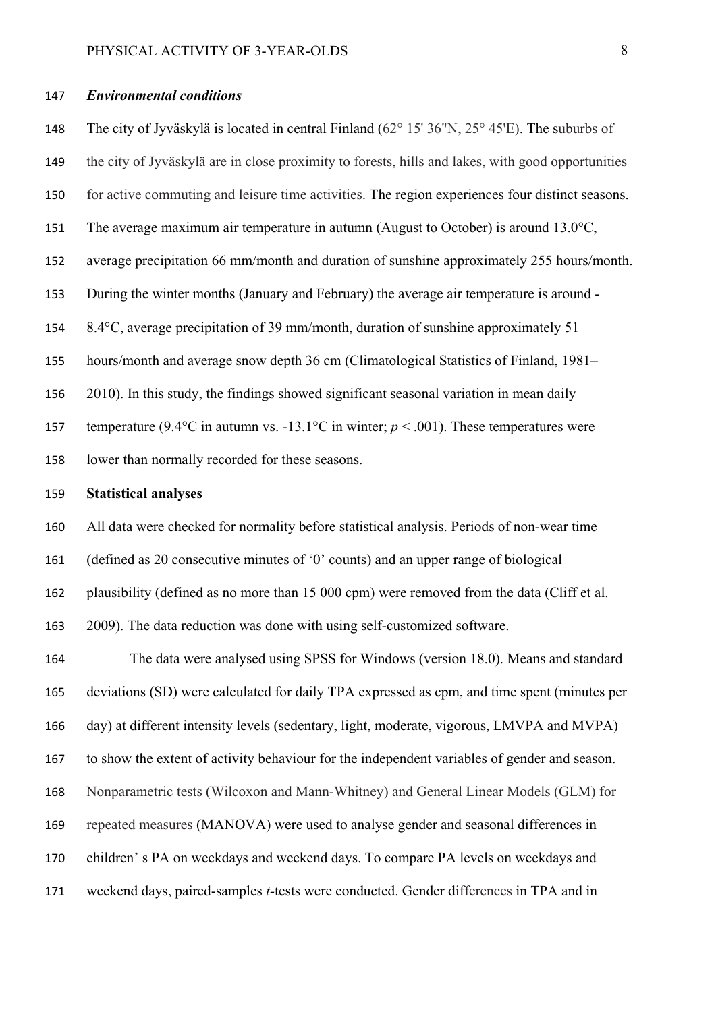#### *Environmental conditions*

The city of Jyväskylä is located in central Finland (62° 15' 36"N, 25° 45'E). The suburbs of the city of Jyväskylä are in close proximity to forests, hills and lakes, with good opportunities for active commuting and leisure time activities. The region experiences four distinct seasons. 151 The average maximum air temperature in autumn (August to October) is around 13.0°C, average precipitation 66 mm/month and duration of sunshine approximately 255 hours/month. During the winter months (January and February) the average air temperature is around - 8.4°C, average precipitation of 39 mm/month, duration of sunshine approximately 51 hours/month and average snow depth 36 cm (Climatological Statistics of Finland, 1981– 2010). In this study, the findings showed significant seasonal variation in mean daily 157 temperature (9.4 $\degree$ C in autumn vs. -13.1 $\degree$ C in winter;  $p \le 0.001$ ). These temperatures were lower than normally recorded for these seasons.

## **Statistical analyses**

All data were checked for normality before statistical analysis. Periods of non-wear time

(defined as 20 consecutive minutes of '0' counts) and an upper range of biological

plausibility (defined as no more than 15 000 cpm) were removed from the data (Cliff et al.

2009). The data reduction was done with using self-customized software.

The data were analysed using SPSS for Windows (version 18.0). Means and standard deviations (SD) were calculated for daily TPA expressed as cpm, and time spent (minutes per day) at different intensity levels (sedentary, light, moderate, vigorous, LMVPA and MVPA) to show the extent of activity behaviour for the independent variables of gender and season. Nonparametric tests (Wilcoxon and Mann-Whitney) and General Linear Models (GLM) for repeated measures (MANOVA) were used to analyse gender and seasonal differences in children' s PA on weekdays and weekend days. To compare PA levels on weekdays and weekend days, paired-samples *t-*tests were conducted. Gender differences in TPA and in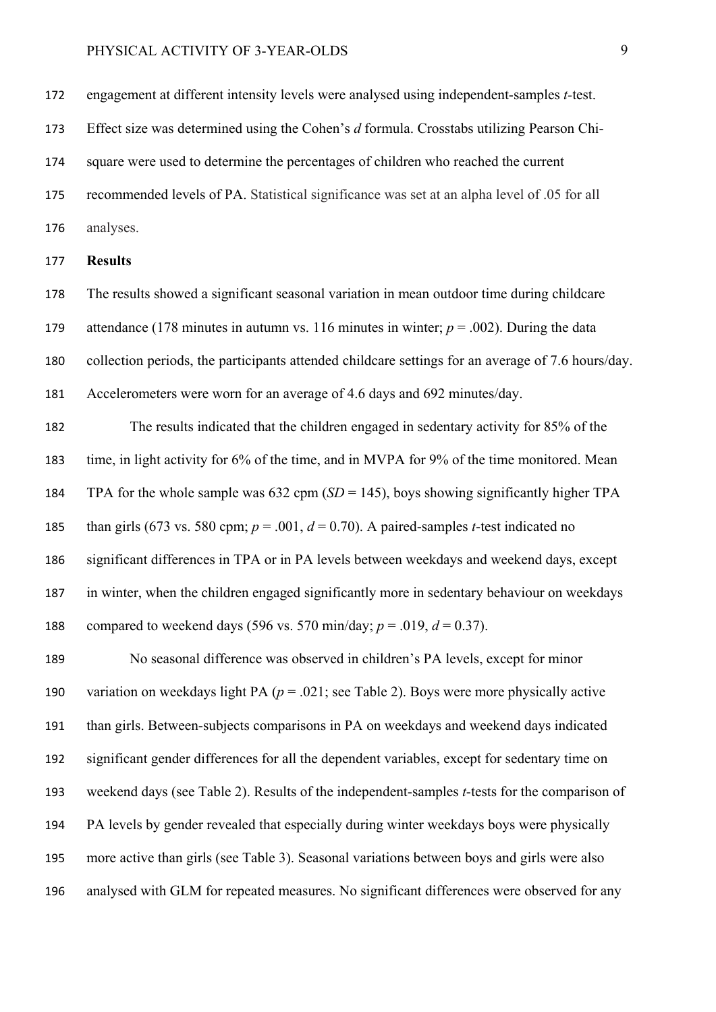engagement at different intensity levels were analysed using independent-samples *t-*test.

Effect size was determined using the Cohen's *d* formula. Crosstabs utilizing Pearson Chi-

square were used to determine the percentages of children who reached the current

recommended levels of PA. Statistical significance was set at an alpha level of .05 for all

analyses.

### **Results**

The results showed a significant seasonal variation in mean outdoor time during childcare attendance (178 minutes in autumn vs. 116 minutes in winter; *p* = .002). During the data collection periods, the participants attended childcare settings for an average of 7.6 hours/day. Accelerometers were worn for an average of 4.6 days and 692 minutes/day.

The results indicated that the children engaged in sedentary activity for 85% of the time, in light activity for 6% of the time, and in MVPA for 9% of the time monitored. Mean TPA for the whole sample was 632 cpm (*SD* = 145), boys showing significantly higher TPA 185 than girls (673 vs. 580 cpm;  $p = .001$ ,  $d = 0.70$ ). A paired-samples *t*-test indicated no significant differences in TPA or in PA levels between weekdays and weekend days, except in winter, when the children engaged significantly more in sedentary behaviour on weekdays 188 compared to weekend days (596 vs. 570 min/day;  $p = .019$ ,  $d = 0.37$ ).

No seasonal difference was observed in children's PA levels, except for minor variation on weekdays light PA (*p* = .021; see Table 2). Boys were more physically active than girls. Between-subjects comparisons in PA on weekdays and weekend days indicated significant gender differences for all the dependent variables, except for sedentary time on weekend days (see Table 2). Results of the independent-samples *t*-tests for the comparison of PA levels by gender revealed that especially during winter weekdays boys were physically more active than girls (see Table 3). Seasonal variations between boys and girls were also analysed with GLM for repeated measures. No significant differences were observed for any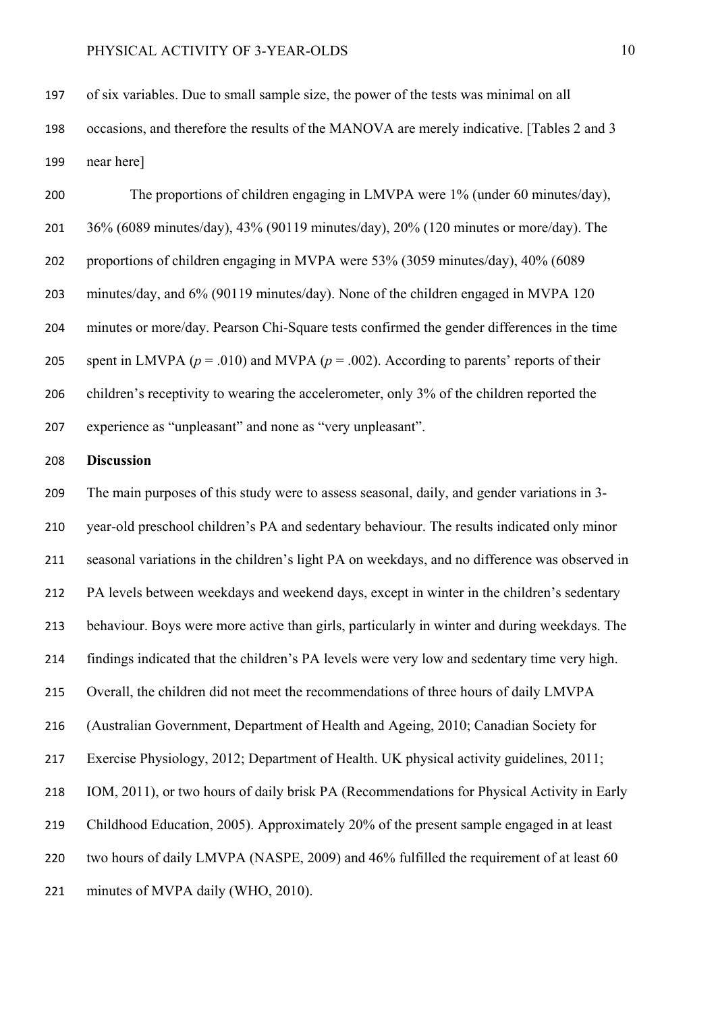of six variables. Due to small sample size, the power of the tests was minimal on all occasions, and therefore the results of the MANOVA are merely indicative. [Tables 2 and 3 near here]

The proportions of children engaging in LMVPA were 1% (under 60 minutes/day), 36% (6089 minutes/day), 43% (90119 minutes/day), 20% (120 minutes or more/day). The proportions of children engaging in MVPA were 53% (3059 minutes/day), 40% (6089 minutes/day, and 6% (90119 minutes/day). None of the children engaged in MVPA 120 minutes or more/day. Pearson Chi-Square tests confirmed the gender differences in the time 205 spent in LMVPA ( $p = .010$ ) and MVPA ( $p = .002$ ). According to parents' reports of their 206 children's receptivity to wearing the accelerometer, only 3% of the children reported the experience as "unpleasant" and none as "very unpleasant".

#### **Discussion**

The main purposes of this study were to assess seasonal, daily, and gender variations in 3- year-old preschool children's PA and sedentary behaviour. The results indicated only minor seasonal variations in the children's light PA on weekdays, and no difference was observed in PA levels between weekdays and weekend days, except in winter in the children's sedentary behaviour. Boys were more active than girls, particularly in winter and during weekdays. The findings indicated that the children's PA levels were very low and sedentary time very high. Overall, the children did not meet the recommendations of three hours of daily LMVPA (Australian Government, Department of Health and Ageing, 2010; Canadian Society for Exercise Physiology, 2012; Department of Health. UK physical activity guidelines, 2011; IOM, 2011), or two hours of daily brisk PA (Recommendations for Physical Activity in Early Childhood Education, 2005). Approximately 20% of the present sample engaged in at least two hours of daily LMVPA (NASPE, 2009) and 46% fulfilled the requirement of at least 60 minutes of MVPA daily (WHO, 2010).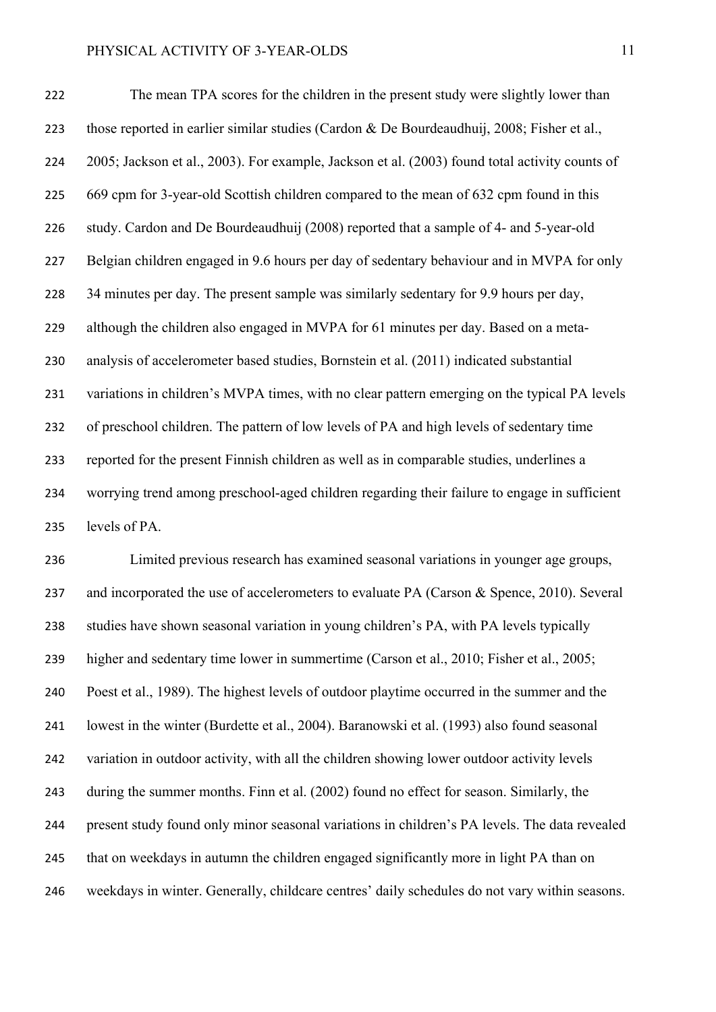The mean TPA scores for the children in the present study were slightly lower than those reported in earlier similar studies (Cardon & De Bourdeaudhuij, 2008; Fisher et al., 2005; Jackson et al., 2003). For example, Jackson et al. (2003) found total activity counts of 669 cpm for 3-year-old Scottish children compared to the mean of 632 cpm found in this study. Cardon and De Bourdeaudhuij (2008) reported that a sample of 4- and 5-year-old Belgian children engaged in 9.6 hours per day of sedentary behaviour and in MVPA for only 34 minutes per day. The present sample was similarly sedentary for 9.9 hours per day, although the children also engaged in MVPA for 61 minutes per day. Based on a meta-analysis of accelerometer based studies, Bornstein et al. (2011) indicated substantial variations in children's MVPA times, with no clear pattern emerging on the typical PA levels of preschool children. The pattern of low levels of PA and high levels of sedentary time reported for the present Finnish children as well as in comparable studies, underlines a worrying trend among preschool-aged children regarding their failure to engage in sufficient levels of PA.

Limited previous research has examined seasonal variations in younger age groups, 237 and incorporated the use of accelerometers to evaluate PA (Carson & Spence, 2010). Several studies have shown seasonal variation in young children's PA, with PA levels typically higher and sedentary time lower in summertime (Carson et al., 2010; Fisher et al., 2005; Poest et al., 1989). The highest levels of outdoor playtime occurred in the summer and the lowest in the winter (Burdette et al., 2004). Baranowski et al. (1993) also found seasonal variation in outdoor activity, with all the children showing lower outdoor activity levels during the summer months. Finn et al. (2002) found no effect for season. Similarly, the present study found only minor seasonal variations in children's PA levels. The data revealed that on weekdays in autumn the children engaged significantly more in light PA than on weekdays in winter. Generally, childcare centres' daily schedules do not vary within seasons.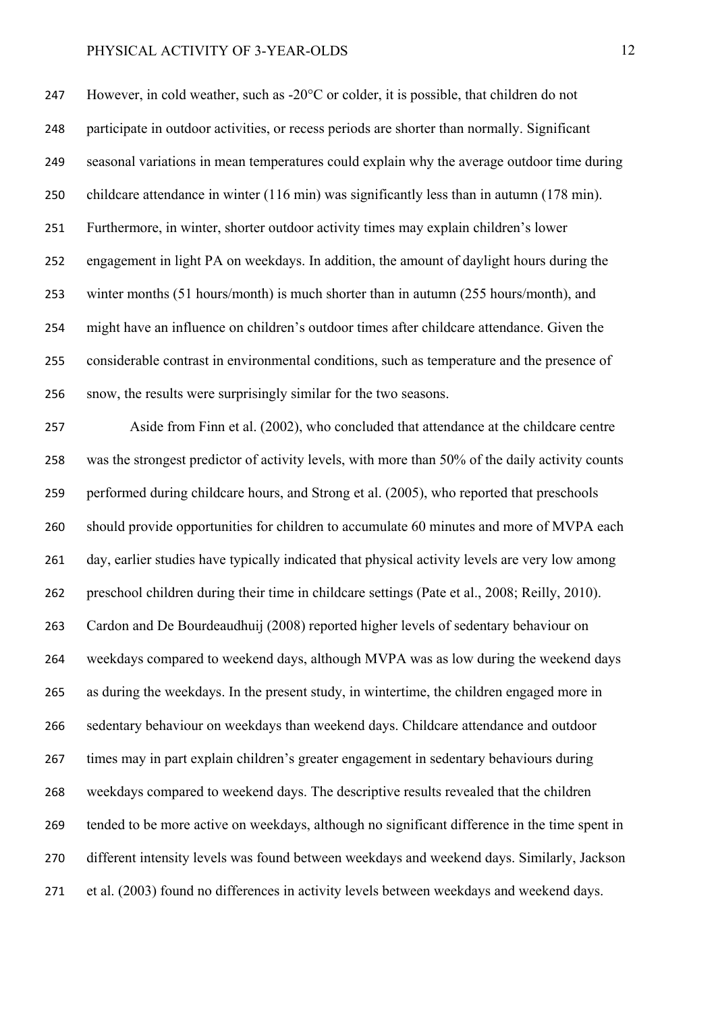However, in cold weather, such as -20°C or colder, it is possible, that children do not participate in outdoor activities, or recess periods are shorter than normally. Significant seasonal variations in mean temperatures could explain why the average outdoor time during childcare attendance in winter (116 min) was significantly less than in autumn (178 min). Furthermore, in winter, shorter outdoor activity times may explain children's lower engagement in light PA on weekdays. In addition, the amount of daylight hours during the winter months (51 hours/month) is much shorter than in autumn (255 hours/month), and might have an influence on children's outdoor times after childcare attendance. Given the considerable contrast in environmental conditions, such as temperature and the presence of snow, the results were surprisingly similar for the two seasons.

Aside from Finn et al. (2002), who concluded that attendance at the childcare centre was the strongest predictor of activity levels, with more than 50% of the daily activity counts performed during childcare hours, and Strong et al. (2005), who reported that preschools should provide opportunities for children to accumulate 60 minutes and more of MVPA each day, earlier studies have typically indicated that physical activity levels are very low among preschool children during their time in childcare settings (Pate et al., 2008; Reilly, 2010). Cardon and De Bourdeaudhuij (2008) reported higher levels of sedentary behaviour on weekdays compared to weekend days, although MVPA was as low during the weekend days as during the weekdays. In the present study, in wintertime, the children engaged more in sedentary behaviour on weekdays than weekend days. Childcare attendance and outdoor times may in part explain children's greater engagement in sedentary behaviours during weekdays compared to weekend days. The descriptive results revealed that the children tended to be more active on weekdays, although no significant difference in the time spent in different intensity levels was found between weekdays and weekend days. Similarly, Jackson et al. (2003) found no differences in activity levels between weekdays and weekend days.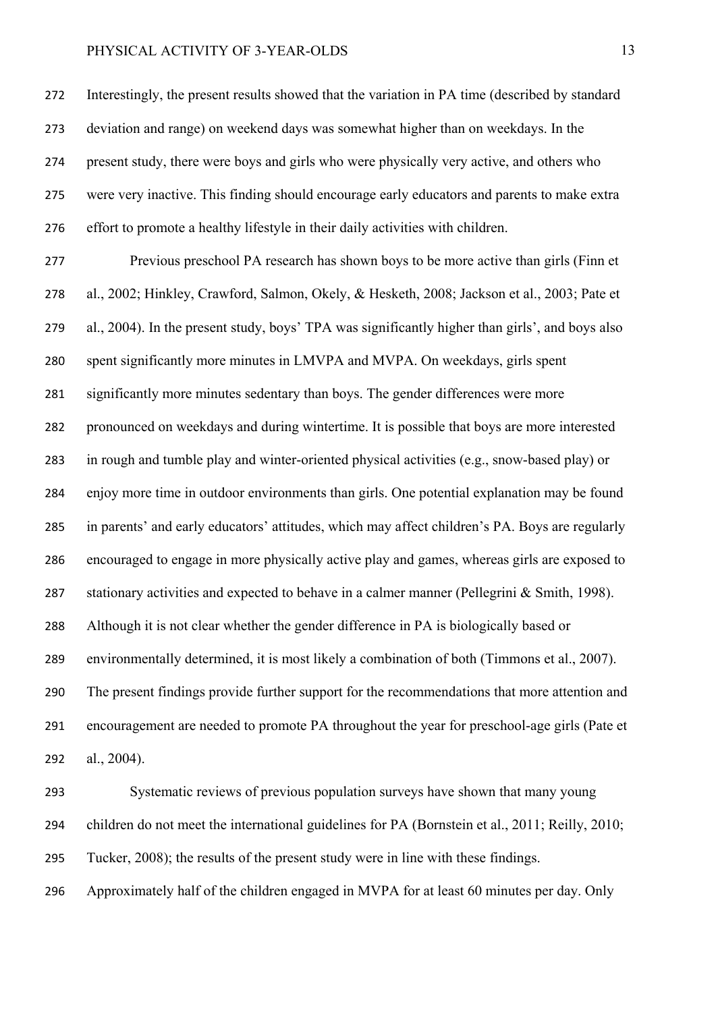Interestingly, the present results showed that the variation in PA time (described by standard deviation and range) on weekend days was somewhat higher than on weekdays. In the present study, there were boys and girls who were physically very active, and others who were very inactive. This finding should encourage early educators and parents to make extra effort to promote a healthy lifestyle in their daily activities with children.

Previous preschool PA research has shown boys to be more active than girls (Finn et al., 2002; Hinkley, Crawford, Salmon, Okely, & Hesketh, 2008; Jackson et al., 2003; Pate et al., 2004). In the present study, boys' TPA was significantly higher than girls', and boys also spent significantly more minutes in LMVPA and MVPA. On weekdays, girls spent significantly more minutes sedentary than boys. The gender differences were more pronounced on weekdays and during wintertime. It is possible that boys are more interested in rough and tumble play and winter-oriented physical activities (e.g., snow-based play) or enjoy more time in outdoor environments than girls. One potential explanation may be found in parents' and early educators' attitudes, which may affect children's PA. Boys are regularly encouraged to engage in more physically active play and games, whereas girls are exposed to 287 stationary activities and expected to behave in a calmer manner (Pellegrini & Smith, 1998). Although it is not clear whether the gender difference in PA is biologically based or environmentally determined, it is most likely a combination of both (Timmons et al., 2007). The present findings provide further support for the recommendations that more attention and encouragement are needed to promote PA throughout the year for preschool-age girls (Pate et al., 2004).

Systematic reviews of previous population surveys have shown that many young children do not meet the international guidelines for PA (Bornstein et al., 2011; Reilly, 2010; Tucker, 2008); the results of the present study were in line with these findings.

Approximately half of the children engaged in MVPA for at least 60 minutes per day. Only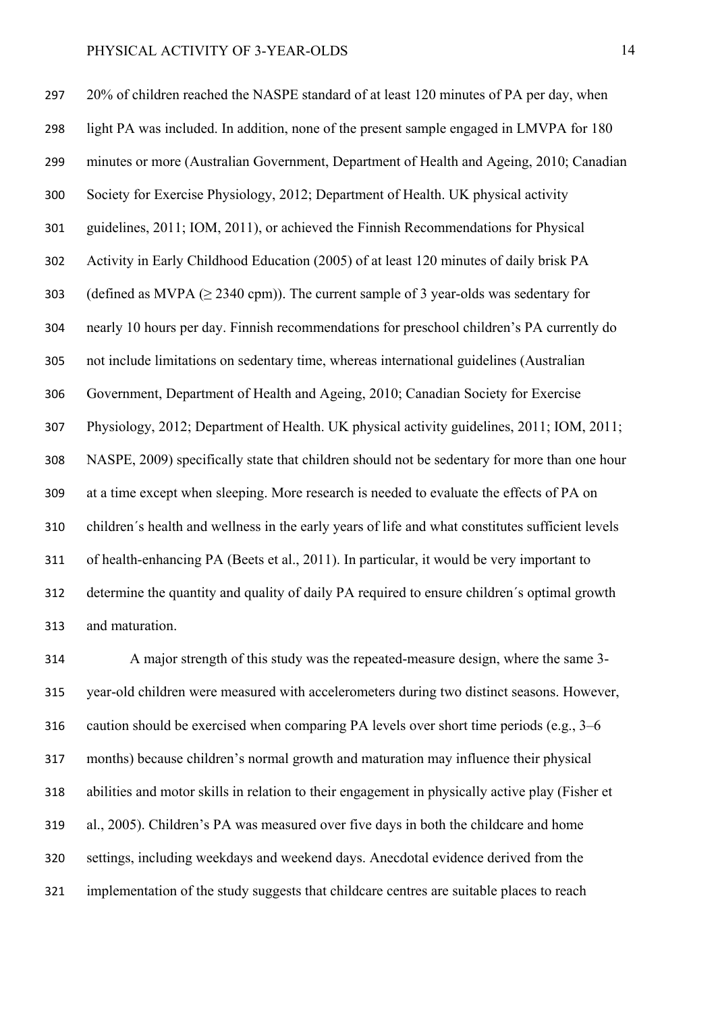20% of children reached the NASPE standard of at least 120 minutes of PA per day, when light PA was included. In addition, none of the present sample engaged in LMVPA for 180 minutes or more (Australian Government, Department of Health and Ageing, 2010; Canadian Society for Exercise Physiology, 2012; Department of Health. UK physical activity guidelines, 2011; IOM, 2011), or achieved the Finnish Recommendations for Physical Activity in Early Childhood Education (2005) of at least 120 minutes of daily brisk PA 303 (defined as MVPA  $(\geq 2340 \text{ cm})$ ). The current sample of 3 year-olds was sedentary for nearly 10 hours per day. Finnish recommendations for preschool children's PA currently do not include limitations on sedentary time, whereas international guidelines (Australian Government, Department of Health and Ageing, 2010; Canadian Society for Exercise Physiology, 2012; Department of Health. UK physical activity guidelines, 2011; IOM, 2011; NASPE, 2009) specifically state that children should not be sedentary for more than one hour at a time except when sleeping. More research is needed to evaluate the effects of PA on children´s health and wellness in the early years of life and what constitutes sufficient levels of health-enhancing PA (Beets et al., 2011). In particular, it would be very important to determine the quantity and quality of daily PA required to ensure children´s optimal growth and maturation.

A major strength of this study was the repeated-measure design, where the same 3- year-old children were measured with accelerometers during two distinct seasons. However, caution should be exercised when comparing PA levels over short time periods (e.g., 3–6 months) because children's normal growth and maturation may influence their physical abilities and motor skills in relation to their engagement in physically active play (Fisher et al., 2005). Children's PA was measured over five days in both the childcare and home settings, including weekdays and weekend days. Anecdotal evidence derived from the implementation of the study suggests that childcare centres are suitable places to reach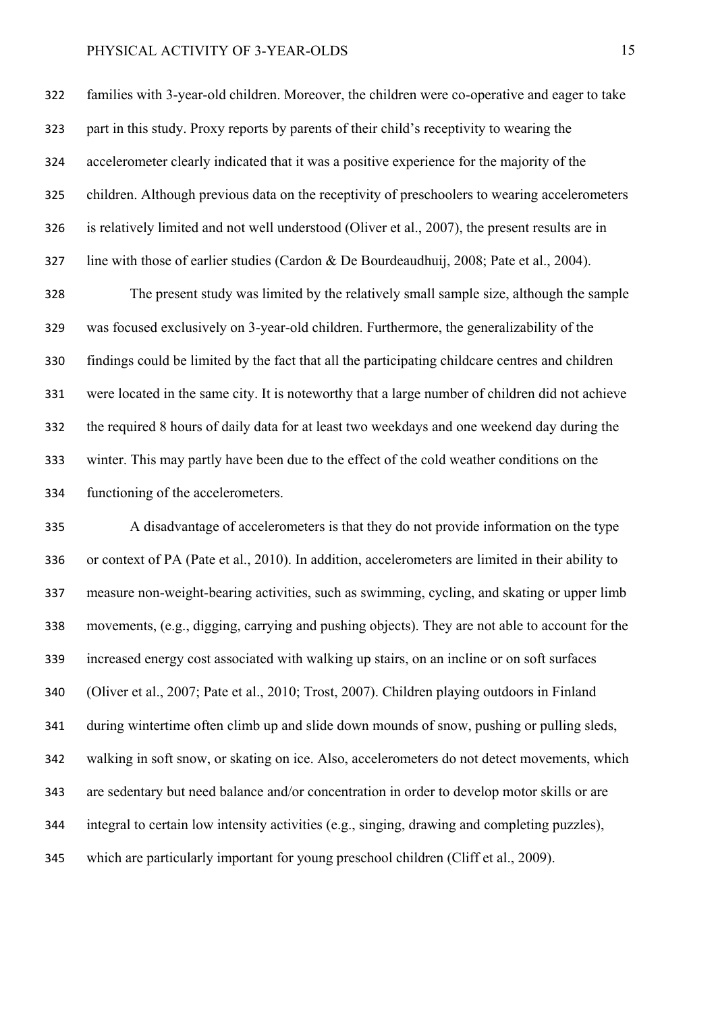families with 3-year-old children. Moreover, the children were co-operative and eager to take part in this study. Proxy reports by parents of their child's receptivity to wearing the accelerometer clearly indicated that it was a positive experience for the majority of the children. Although previous data on the receptivity of preschoolers to wearing accelerometers is relatively limited and not well understood (Oliver et al., 2007), the present results are in line with those of earlier studies (Cardon & De Bourdeaudhuij, 2008; Pate et al., 2004).

The present study was limited by the relatively small sample size, although the sample was focused exclusively on 3-year-old children. Furthermore, the generalizability of the findings could be limited by the fact that all the participating childcare centres and children were located in the same city. It is noteworthy that a large number of children did not achieve the required 8 hours of daily data for at least two weekdays and one weekend day during the winter. This may partly have been due to the effect of the cold weather conditions on the functioning of the accelerometers.

A disadvantage of accelerometers is that they do not provide information on the type or context of PA (Pate et al., 2010). In addition, accelerometers are limited in their ability to measure non-weight-bearing activities, such as swimming, cycling, and skating or upper limb movements, (e.g., digging, carrying and pushing objects). They are not able to account for the increased energy cost associated with walking up stairs, on an incline or on soft surfaces (Oliver et al., 2007; Pate et al., 2010; Trost, 2007). Children playing outdoors in Finland during wintertime often climb up and slide down mounds of snow, pushing or pulling sleds, walking in soft snow, or skating on ice. Also, accelerometers do not detect movements, which are sedentary but need balance and/or concentration in order to develop motor skills or are integral to certain low intensity activities (e.g., singing, drawing and completing puzzles), which are particularly important for young preschool children (Cliff et al., 2009).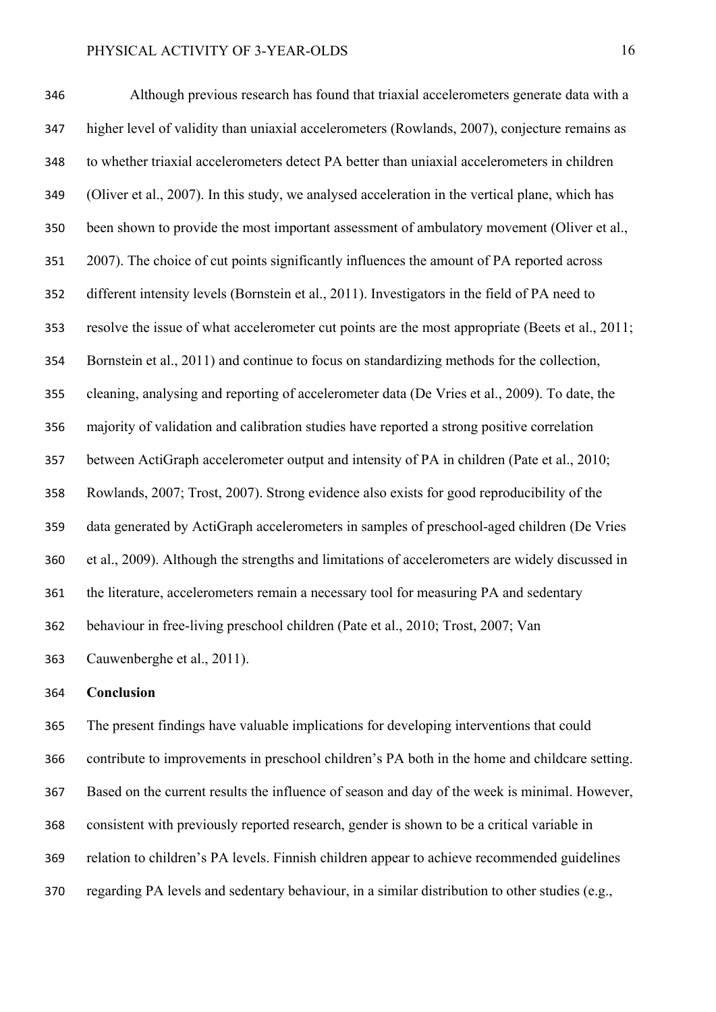Although previous research has found that triaxial accelerometers generate data with a higher level of validity than uniaxial accelerometers (Rowlands, 2007), conjecture remains as to whether triaxial accelerometers detect PA better than uniaxial accelerometers in children (Oliver et al., 2007). In this study, we analysed acceleration in the vertical plane, which has been shown to provide the most important assessment of ambulatory movement (Oliver et al., 2007). The choice of cut points significantly influences the amount of PA reported across different intensity levels (Bornstein et al., 2011). Investigators in the field of PA need to resolve the issue of what accelerometer cut points are the most appropriate (Beets et al., 2011; Bornstein et al., 2011) and continue to focus on standardizing methods for the collection, cleaning, analysing and reporting of accelerometer data (De Vries et al., 2009). To date, the majority of validation and calibration studies have reported a strong positive correlation between ActiGraph accelerometer output and intensity of PA in children (Pate et al., 2010; Rowlands, 2007; Trost, 2007). Strong evidence also exists for good reproducibility of the data generated by ActiGraph accelerometers in samples of preschool-aged children (De Vries et al., 2009). Although the strengths and limitations of accelerometers are widely discussed in the literature, accelerometers remain a necessary tool for measuring PA and sedentary behaviour in free-living preschool children (Pate et al., 2010; Trost, 2007; Van Cauwenberghe et al., 2011).

#### **Conclusion**

The present findings have valuable implications for developing interventions that could contribute to improvements in preschool children's PA both in the home and childcare setting. Based on the current results the influence of season and day of the week is minimal. However, consistent with previously reported research, gender is shown to be a critical variable in relation to children's PA levels. Finnish children appear to achieve recommended guidelines regarding PA levels and sedentary behaviour, in a similar distribution to other studies (e.g.,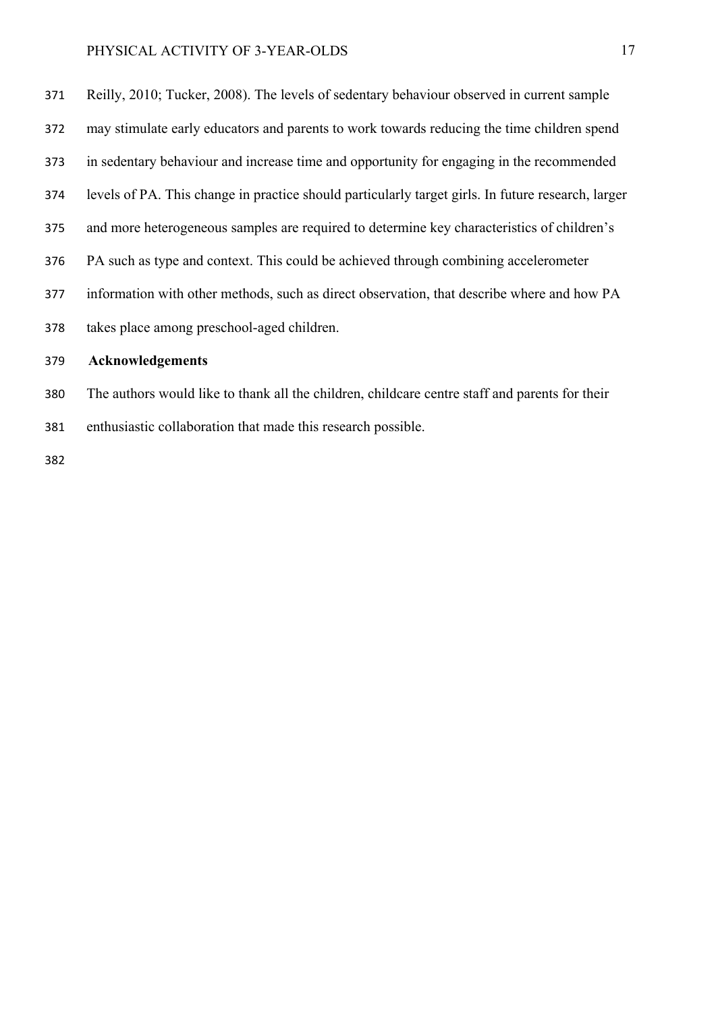Reilly, 2010; Tucker, 2008). The levels of sedentary behaviour observed in current sample may stimulate early educators and parents to work towards reducing the time children spend in sedentary behaviour and increase time and opportunity for engaging in the recommended levels of PA. This change in practice should particularly target girls. In future research, larger and more heterogeneous samples are required to determine key characteristics of children's PA such as type and context. This could be achieved through combining accelerometer information with other methods, such as direct observation, that describe where and how PA takes place among preschool-aged children. **Acknowledgements** 

- The authors would like to thank all the children, childcare centre staff and parents for their
- enthusiastic collaboration that made this research possible.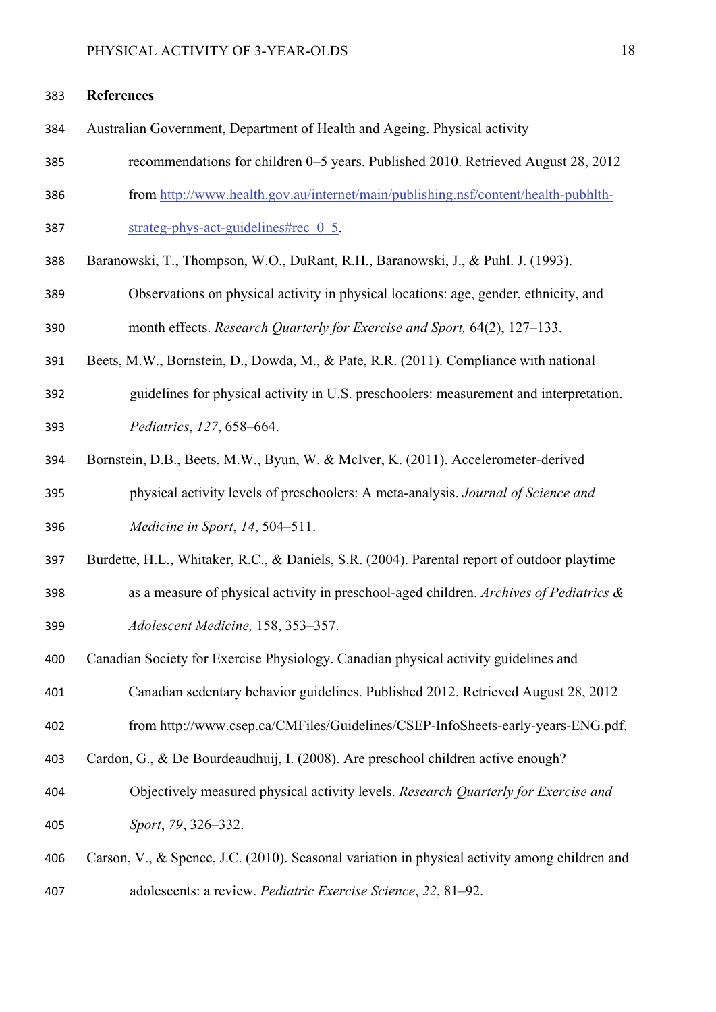#### **References**

- Australian Government, Department of Health and Ageing. Physical activity
- recommendations for children 0–5 years. Published 2010. Retrieved August 28, 2012
- from http://www.health.gov.au/internet/main/publishing.nsf/content/health-pubhlth-
- 387 strateg-phys-act-guidelines#rec 0 5.
- Baranowski, T., Thompson, W.O., DuRant, R.H., Baranowski, J., & Puhl. J. (1993).
- Observations on physical activity in physical locations: age, gender, ethnicity, and month effects. *Research Quarterly for Exercise and Sport,* 64(2), 127–133.
- Beets, M.W., Bornstein, D., Dowda, M., & Pate, R.R. (2011). Compliance with national
- guidelines for physical activity in U.S. preschoolers: measurement and interpretation. *Pediatrics*, *127*, 658–664.
- Bornstein, D.B., Beets, M.W., Byun, W. & McIver, K. (2011). Accelerometer-derived physical activity levels of preschoolers: A meta-analysis. *Journal of Science and Medicine in Sport*, *14*, 504–511.
- Burdette, H.L., Whitaker, R.C., & Daniels, S.R. (2004). Parental report of outdoor playtime
- as a measure of physical activity in preschool-aged children. *Archives of Pediatrics & Adolescent Medicine,* 158, 353–357.
- Canadian Society for Exercise Physiology. Canadian physical activity guidelines and
- Canadian sedentary behavior guidelines. Published 2012. Retrieved August 28, 2012
- from http://www.csep.ca/CMFiles/Guidelines/CSEP-InfoSheets-early-years-ENG.pdf.
- Cardon, G., & De Bourdeaudhuij, I. (2008). Are preschool children active enough?
- Objectively measured physical activity levels. *Research Quarterly for Exercise and Sport*, *79*, 326–332.
- Carson, V., & Spence, J.C. (2010). Seasonal variation in physical activity among children and adolescents: a review. *Pediatric Exercise Science*, *22*, 81–92.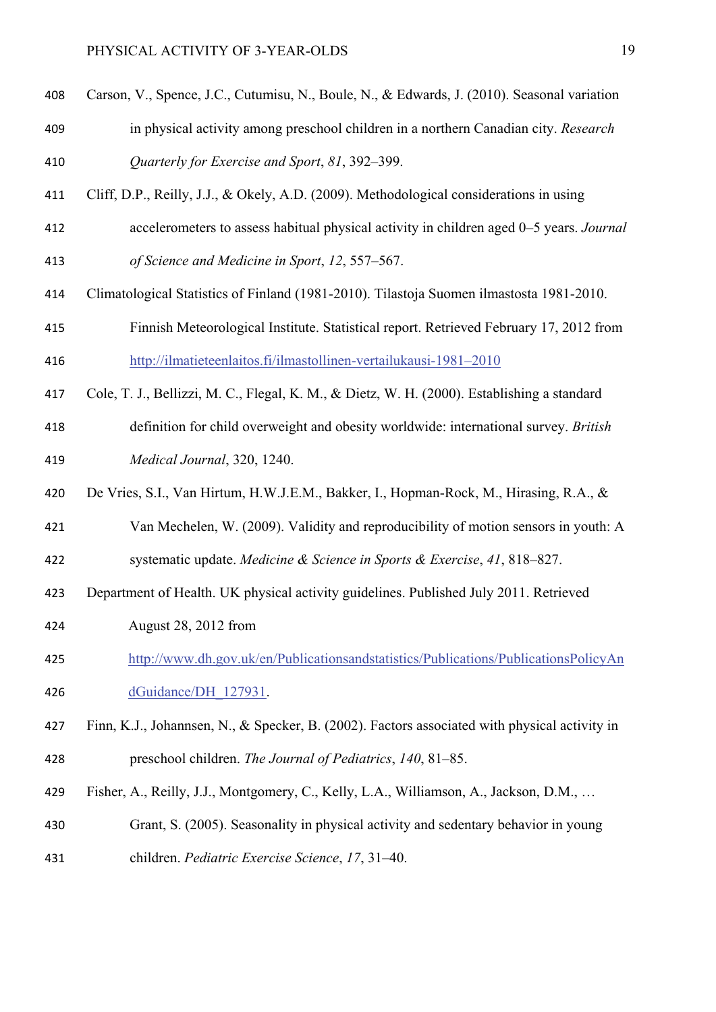- Carson, V., Spence, J.C., Cutumisu, N., Boule, N., & Edwards, J. (2010). Seasonal variation
- in physical activity among preschool children in a northern Canadian city. *Research Quarterly for Exercise and Sport*, *81*, 392–399.
- Cliff, D.P., Reilly, J.J., & Okely, A.D. (2009). Methodological considerations in using
- accelerometers to assess habitual physical activity in children aged 0–5 years. *Journal of Science and Medicine in Sport*, *12*, 557–567.
- Climatological Statistics of Finland (1981-2010). Tilastoja Suomen ilmastosta 1981-2010.
- Finnish Meteorological Institute. Statistical report. Retrieved February 17, 2012 from http://ilmatieteenlaitos.fi/ilmastollinen-vertailukausi-1981–2010
- Cole, T. J., Bellizzi, M. C., Flegal, K. M., & Dietz, W. H. (2000). Establishing a standard
- definition for child overweight and obesity worldwide: international survey. *British Medical Journal*, 320, 1240.
- De Vries, S.I., Van Hirtum, H.W.J.E.M., Bakker, I., Hopman-Rock, M., Hirasing, R.A., &
- Van Mechelen, W. (2009). Validity and reproducibility of motion sensors in youth: A systematic update. *Medicine & Science in Sports & Exercise*, *41*, 818–827.
- Department of Health. UK physical activity guidelines. Published July 2011. Retrieved
- August 28, 2012 from
- http://www.dh.gov.uk/en/Publicationsandstatistics/Publications/PublicationsPolicyAn dGuidance/DH\_127931.
- Finn, K.J., Johannsen, N., & Specker, B. (2002). Factors associated with physical activity in preschool children. *The Journal of Pediatrics*, *140*, 81–85.
- Fisher, A., Reilly, J.J., Montgomery, C., Kelly, L.A., Williamson, A., Jackson, D.M., …
- Grant, S. (2005). Seasonality in physical activity and sedentary behavior in young
- children. *Pediatric Exercise Science*, *17*, 31–40.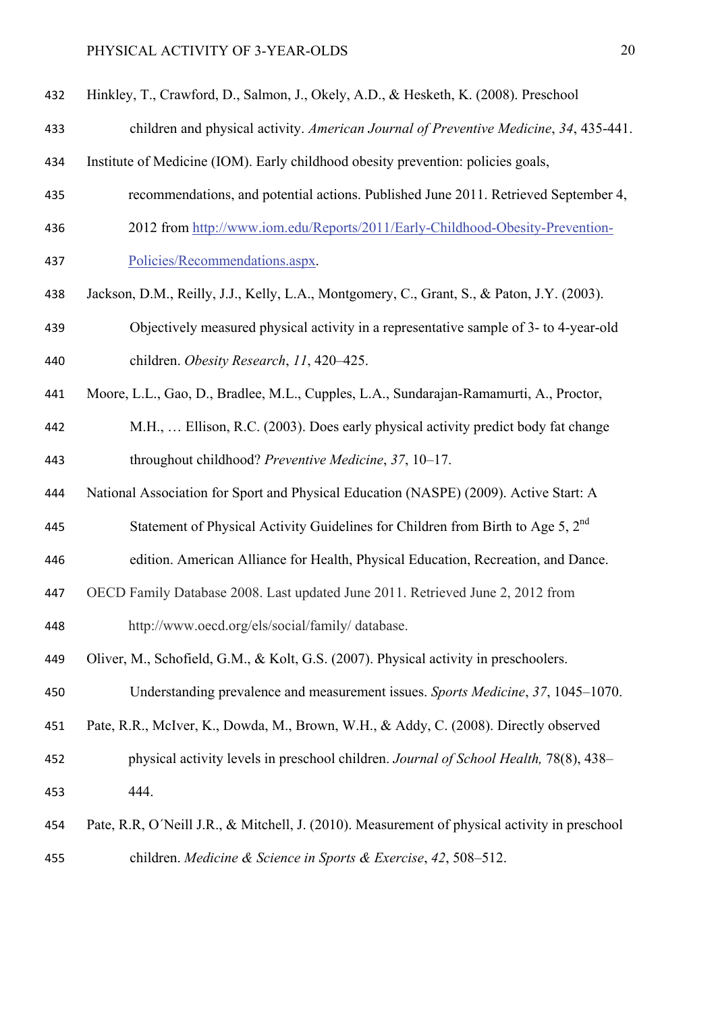- Hinkley, T., Crawford, D., Salmon, J., Okely, A.D., & Hesketh, K. (2008). Preschool
- children and physical activity. *American Journal of Preventive Medicine*, *34*, 435-441.
- Institute of Medicine (IOM). Early childhood obesity prevention: policies goals,
- recommendations, and potential actions. Published June 2011. Retrieved September 4,
- 2012 from http://www.iom.edu/Reports/2011/Early-Childhood-Obesity-Prevention-Policies/Recommendations.aspx.
- Jackson, D.M., Reilly, J.J., Kelly, L.A., Montgomery, C., Grant, S., & Paton, J.Y. (2003).
- Objectively measured physical activity in a representative sample of 3- to 4-year-old children. *Obesity Research*, *11*, 420–425.
- Moore, L.L., Gao, D., Bradlee, M.L., Cupples, L.A., Sundarajan-Ramamurti, A., Proctor,
- M.H., … Ellison, R.C. (2003). Does early physical activity predict body fat change throughout childhood? *Preventive Medicine*, *37*, 10–17.
- National Association for Sport and Physical Education (NASPE) (2009). Active Start: A
- 445 Statement of Physical Activity Guidelines for Children from Birth to Age 5, 2<sup>nd</sup>
- edition. American Alliance for Health, Physical Education, Recreation, and Dance.
- OECD Family Database 2008. Last updated June 2011. Retrieved June 2, 2012 from

http://www.oecd.org/els/social/family/ database.

Oliver, M., Schofield, G.M., & Kolt, G.S. (2007). Physical activity in preschoolers.

Understanding prevalence and measurement issues. *Sports Medicine*, *37*, 1045–1070.

- Pate, R.R., McIver, K., Dowda, M., Brown, W.H., & Addy, C. (2008). Directly observed
- physical activity levels in preschool children. *Journal of School Health,* 78(8), 438– 444.
- Pate, R.R, O´Neill J.R., & Mitchell, J. (2010). Measurement of physical activity in preschool children. *Medicine & Science in Sports & Exercise*, *42*, 508–512.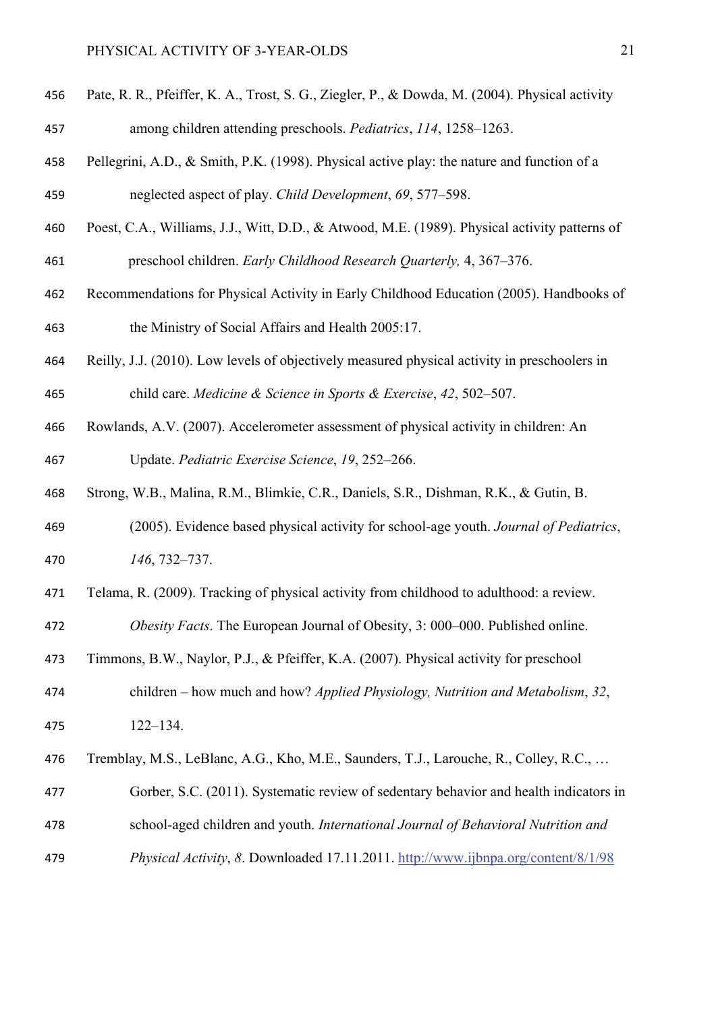- Pate, R. R., Pfeiffer, K. A., Trost, S. G., Ziegler, P., & Dowda, M. (2004). Physical activity among children attending preschools. *Pediatrics*, *114*, 1258–1263.
- Pellegrini, A.D., & Smith, P.K. (1998). Physical active play: the nature and function of a neglected aspect of play. *Child Development*, *69*, 577–598.
- Poest, C.A., Williams, J.J., Witt, D.D., & Atwood, M.E. (1989). Physical activity patterns of preschool children. *Early Childhood Research Quarterly,* 4, 367–376.
- Recommendations for Physical Activity in Early Childhood Education (2005). Handbooks of the Ministry of Social Affairs and Health 2005:17.
- Reilly, J.J. (2010). Low levels of objectively measured physical activity in preschoolers in child care. *Medicine & Science in Sports & Exercise*, *42*, 502–507.
- Rowlands, A.V. (2007). Accelerometer assessment of physical activity in children: An Update. *Pediatric Exercise Science*, *19*, 252–266.
- Strong, W.B., Malina, R.M., Blimkie, C.R., Daniels, S.R., Dishman, R.K., & Gutin, B.
- (2005). Evidence based physical activity for school-age youth. *Journal of Pediatrics*, *146*, 732–737.
- Telama, R. (2009). Tracking of physical activity from childhood to adulthood: a review.
- *Obesity Facts*. The European Journal of Obesity, 3: 000–000. Published online.
- Timmons, B.W., Naylor, P.J., & Pfeiffer, K.A. (2007). Physical activity for preschool
- children how much and how? *Applied Physiology, Nutrition and Metabolism*, *32*, 122–134.
- Tremblay, M.S., LeBlanc, A.G., Kho, M.E., Saunders, T.J., Larouche, R., Colley, R.C., …
- Gorber, S.C. (2011). Systematic review of sedentary behavior and health indicators in school-aged children and youth. *International Journal of Behavioral Nutrition and*
- *Physical Activity*, *8*. Downloaded 17.11.2011. http://www.ijbnpa.org/content/8/1/98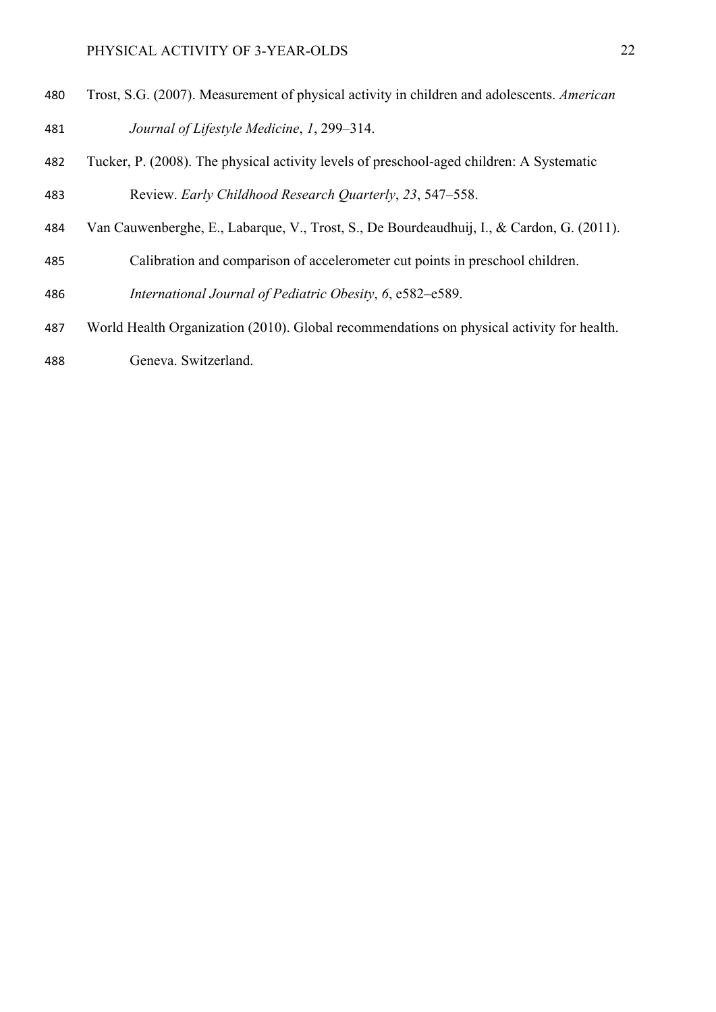- Trost, S.G. (2007). Measurement of physical activity in children and adolescents. *American Journal of Lifestyle Medicine*, *1*, 299–314.
- Tucker, P. (2008). The physical activity levels of preschool-aged children: A Systematic Review. *Early Childhood Research Quarterly*, *23*, 547–558.
- Van Cauwenberghe, E., Labarque, V., Trost, S., De Bourdeaudhuij, I., & Cardon, G. (2011).
- Calibration and comparison of accelerometer cut points in preschool children.

*International Journal of Pediatric Obesity*, *6*, e582–e589.

- World Health Organization (2010). Global recommendations on physical activity for health.
- Geneva. Switzerland.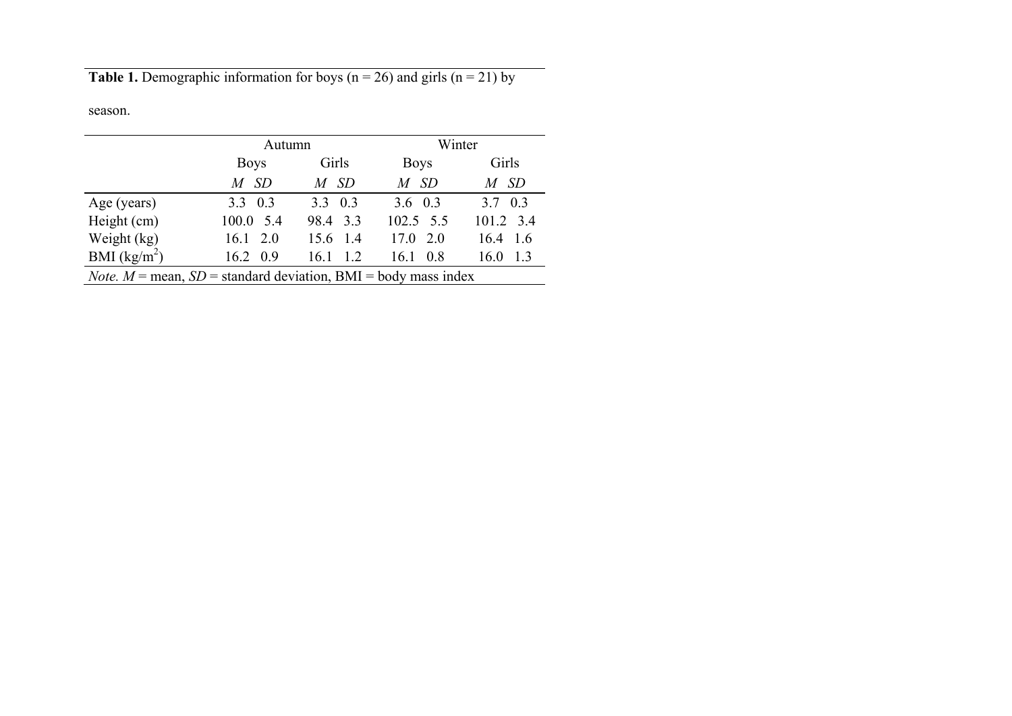**Table 1.** Demographic information for boys ( $n = 26$ ) and girls ( $n = 21$ ) by

season.

|                                                                           | Autumn           |                 | Winter      |                 |
|---------------------------------------------------------------------------|------------------|-----------------|-------------|-----------------|
|                                                                           | <b>Boys</b>      | Girls           | <b>Boys</b> | Girls           |
|                                                                           | $M$ SD           | M SD            | $M$ SD      | $M$ SD          |
| Age (years)                                                               | $3.3 \quad 0.3$  | $3.3 \quad 0.3$ | 3.6 $0.3$   | $3.7 \quad 0.3$ |
| Height (cm)                                                               | 100.0 5.4        | 98.4 3.3        | 102.5 5.5   | 101.2 3.4       |
| Weight $(kg)$                                                             | $16.1 \quad 2.0$ | 15.6 1.4        | $17.0$ 2.0  | $16.4$ 1.6      |
| BMI $(kg/m^2)$                                                            | $16.2 \quad 0.9$ | 1.2<br>16.1     | 16.1<br>0.8 | 1.3<br>16.0     |
| <i>Note.</i> $M$ = mean, $SD$ = standard deviation, BMI = body mass index |                  |                 |             |                 |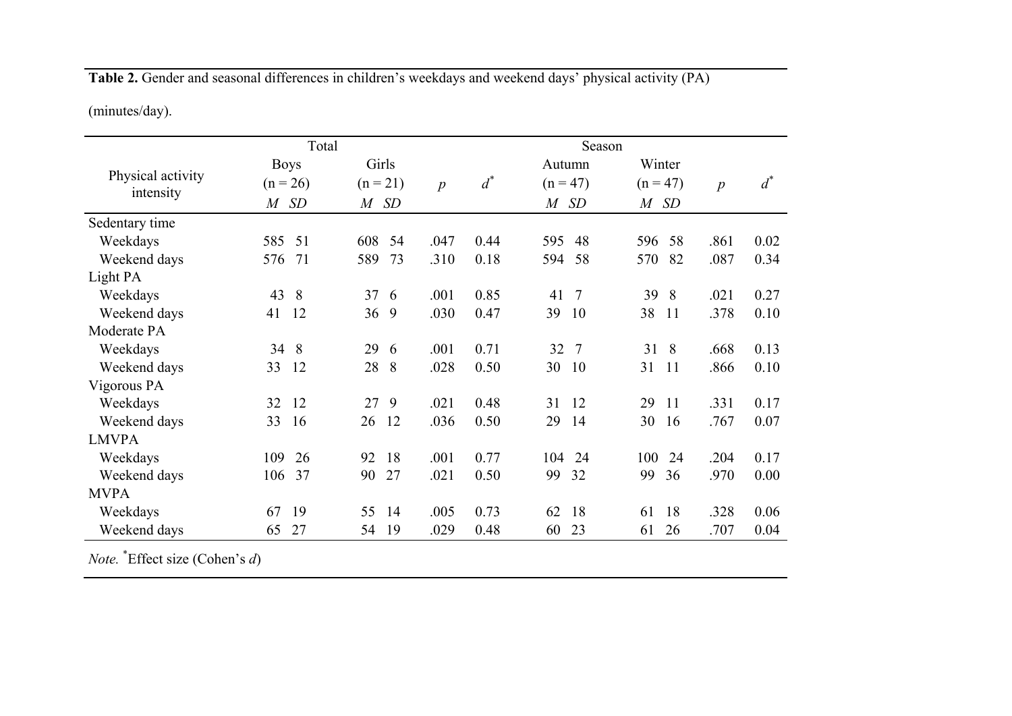**Table 2.** Gender and seasonal differences in children's weekdays and weekend days' physical activity (PA)

(minutes/day).

|                   | Total       |            |                  |       | Season               |                     |                  |       |
|-------------------|-------------|------------|------------------|-------|----------------------|---------------------|------------------|-------|
|                   | <b>Boys</b> | Girls      |                  |       | Autumn               | Winter              |                  |       |
| Physical activity | $(n = 26)$  | $(n = 21)$ | $\boldsymbol{p}$ | $d^*$ | $(n = 47)$           | $(n = 47)$          | $\boldsymbol{p}$ | $d^*$ |
| intensity         | $M$ SD      | $M$ SD     |                  |       | SD<br>$\overline{M}$ | M SD                |                  |       |
| Sedentary time    |             |            |                  |       |                      |                     |                  |       |
| Weekdays          | 585<br>51   | 608<br>54  | .047             | 0.44  | 595<br>48            | 596<br>58           | .861             | 0.02  |
| Weekend days      | 71<br>576   | 73<br>589  | .310             | 0.18  | 58<br>594            | 82<br>570           | .087             | 0.34  |
| Light PA          |             |            |                  |       |                      |                     |                  |       |
| Weekdays          | 43<br>8     | 37<br>6    | .001             | 0.85  | $\overline{7}$<br>41 | 39<br>8             | .021             | 0.27  |
| Weekend days      | 12<br>41    | 9<br>36    | .030             | 0.47  | 39<br>10             | 38<br>11            | .378             | 0.10  |
| Moderate PA       |             |            |                  |       |                      |                     |                  |       |
| Weekdays          | 34 8        | 29<br>6    | .001             | 0.71  | 32<br>$\overline{7}$ | 8<br>31             | .668             | 0.13  |
| Weekend days      | 12<br>33    | 28<br>8    | .028             | 0.50  | 30<br>10             | 31<br><sup>11</sup> | .866             | 0.10  |
| Vigorous PA       |             |            |                  |       |                      |                     |                  |       |
| Weekdays          | 12<br>32    | 9<br>27    | .021             | 0.48  | 31<br>12             | 29<br>11            | .331             | 0.17  |
| Weekend days      | 33<br>16    | 12<br>26   | .036             | 0.50  | 29<br>14             | 30<br>16            | .767             | 0.07  |
| <b>LMVPA</b>      |             |            |                  |       |                      |                     |                  |       |
| Weekdays          | 109<br>26   | 18<br>92   | .001             | 0.77  | 24<br>104            | 100<br>24           | .204             | 0.17  |
| Weekend days      | 37<br>106   | 27<br>90   | .021             | 0.50  | 99<br>32             | 99<br>36            | .970             | 0.00  |
| <b>MVPA</b>       |             |            |                  |       |                      |                     |                  |       |
| Weekdays          | 19<br>67    | 55<br>14   | .005             | 0.73  | 62<br>18             | 18<br>61            | .328             | 0.06  |
| Weekend days      | 27<br>65    | 19<br>54   | .029             | 0.48  | 60<br>23             | 61<br>26            | .707             | 0.04  |

*Note.* \*Effect size (Cohen's *d*)